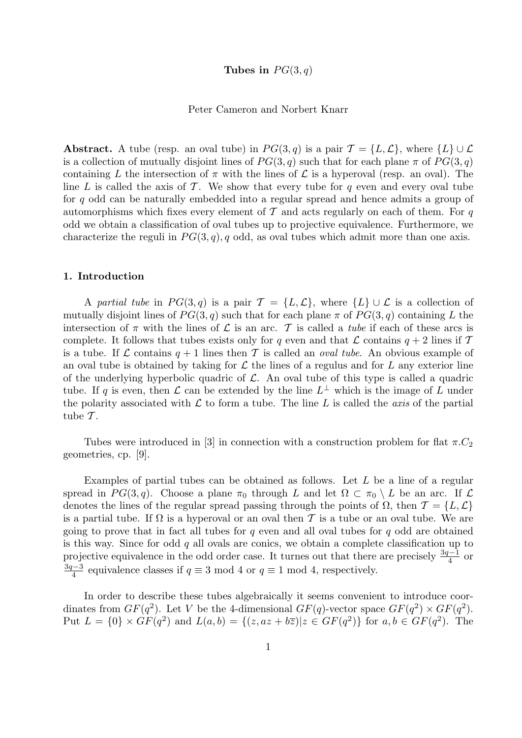# Tubes in  $PG(3,q)$

### Peter Cameron and Norbert Knarr

**Abstract.** A tube (resp. an oval tube) in  $PG(3,q)$  is a pair  $\mathcal{T} = \{L, \mathcal{L}\}\$ , where  $\{L\} \cup \mathcal{L}$ is a collection of mutually disjoint lines of  $PG(3, q)$  such that for each plane  $\pi$  of  $PG(3, q)$ containing L the intersection of  $\pi$  with the lines of L is a hyperoval (resp. an oval). The line L is called the axis of T. We show that every tube for q even and every oval tube for q odd can be naturally embedded into a regular spread and hence admits a group of automorphisms which fixes every element of  $\mathcal T$  and acts regularly on each of them. For q odd we obtain a classification of oval tubes up to projective equivalence. Furthermore, we characterize the reguli in  $PG(3, q)$ , q odd, as oval tubes which admit more than one axis.

#### 1. Introduction

A partial tube in  $PG(3,q)$  is a pair  $\mathcal{T} = \{L,\mathcal{L}\}\$ , where  $\{L\} \cup \mathcal{L}$  is a collection of mutually disjoint lines of  $PG(3, q)$  such that for each plane  $\pi$  of  $PG(3, q)$  containing L the intersection of  $\pi$  with the lines of  $\mathcal L$  is an arc. T is called a *tube* if each of these arcs is complete. It follows that tubes exists only for q even and that  $\mathcal L$  contains  $q + 2$  lines if  $\mathcal T$ is a tube. If L contains  $q + 1$  lines then T is called an *oval tube*. An obvious example of an oval tube is obtained by taking for  $\mathcal L$  the lines of a regulus and for L any exterior line of the underlying hyperbolic quadric of  $\mathcal{L}$ . An oval tube of this type is called a quadric tube. If q is even, then  $\mathcal L$  can be extended by the line  $L^{\perp}$  which is the image of  $\overline L$  under the polarity associated with  $\mathcal L$  to form a tube. The line  $L$  is called the *axis* of the partial tube  $\mathcal{T}$ .

Tubes were introduced in [3] in connection with a construction problem for flat  $\pi$ . geometries, cp. [9].

Examples of partial tubes can be obtained as follows. Let L be a line of a regular spread in  $PG(3, q)$ . Choose a plane  $\pi_0$  through L and let  $\Omega \subset \pi_0 \setminus L$  be an arc. If L denotes the lines of the regular spread passing through the points of  $\Omega$ , then  $\mathcal{T} = \{L, \mathcal{L}\}\$ is a partial tube. If  $\Omega$  is a hyperoval or an oval then T is a tube or an oval tube. We are going to prove that in fact all tubes for  $q$  even and all oval tubes for  $q$  odd are obtained is this way. Since for odd  $q$  all ovals are conics, we obtain a complete classification up to projective equivalence in the odd order case. It turnes out that there are precisely  $\frac{3q-1}{4}$  or 3q−3  $\frac{q-3}{4}$  equivalence classes if  $q \equiv 3 \mod 4$  or  $q \equiv 1 \mod 4$ , respectively.

In order to describe these tubes algebraically it seems convenient to introduce coordinates from  $GF(q^2)$ . Let V be the 4-dimensional  $GF(q)$ -vector space  $GF(q^2) \times GF(q^2)$ . Put  $L = \{0\} \times GF(q^2)$  and  $L(a, b) = \{(z, az + b\overline{z}) | z \in GF(q^2)\}\)$  for  $a, b \in GF(q^2)$ . The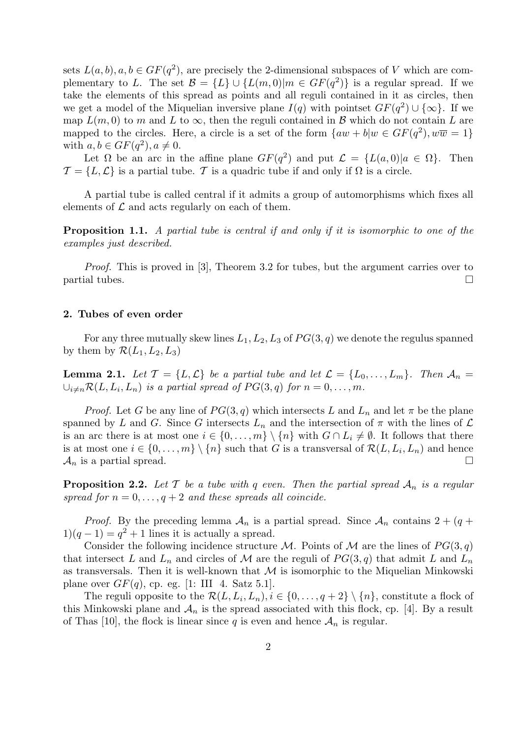sets  $L(a, b), a, b \in GF(q^2)$ , are precisely the 2-dimensional subspaces of V which are complementary to L. The set  $\mathcal{B} = \{L\} \cup \{L(m,0)|m \in GF(q^2)\}\$ is a regular spread. If we take the elements of this spread as points and all reguli contained in it as circles, then we get a model of the Miquelian inversive plane  $I(q)$  with pointset  $GF(q^2) \cup {\infty}$ . If we map  $L(m, 0)$  to m and L to  $\infty$ , then the reguli contained in B which do not contain L are mapped to the circles. Here, a circle is a set of the form  $\{aw + b | w \in GF(q^2), w\overline{w} = 1\}$ with  $a, b \in GF(q^2), a \neq 0$ .

Let  $\Omega$  be an arc in the affine plane  $GF(q^2)$  and put  $\mathcal{L} = \{L(a,0)|a \in \Omega\}$ . Then  $\mathcal{T} = \{L, \mathcal{L}\}\$ is a partial tube. T is a quadric tube if and only if  $\Omega$  is a circle.

A partial tube is called central if it admits a group of automorphisms which fixes all elements of  $\mathcal L$  and acts regularly on each of them.

Proposition 1.1. A partial tube is central if and only if it is isomorphic to one of the examples just described.

Proof. This is proved in [3], Theorem 3.2 for tubes, but the argument carries over to  $\Box$  partial tubes.

#### 2. Tubes of even order

For any three mutually skew lines  $L_1, L_2, L_3$  of  $PG(3, q)$  we denote the regulus spanned by them by  $\mathcal{R}(L_1, L_2, L_3)$ 

**Lemma 2.1.** Let  $\mathcal{T} = \{L, \mathcal{L}\}\$ be a partial tube and let  $\mathcal{L} = \{L_0, \ldots, L_m\}$ . Then  $\mathcal{A}_n =$  $\bigcup_{i\neq n} \mathcal{R}(L, L_i, L_n)$  is a partial spread of  $PG(3, q)$  for  $n = 0, \ldots, m$ .

*Proof.* Let G be any line of  $PG(3, q)$  which intersects L and  $L_n$  and let  $\pi$  be the plane spanned by L and G. Since G intersects  $L_n$  and the intersection of  $\pi$  with the lines of  $\mathcal L$ is an arc there is at most one  $i \in \{0, \ldots, m\} \setminus \{n\}$  with  $G \cap L_i \neq \emptyset$ . It follows that there is at most one  $i \in \{0, \ldots, m\} \setminus \{n\}$  such that G is a transversal of  $\mathcal{R}(L, L_i, L_n)$  and hence  $\mathcal{A}_n$  is a partial spread.

**Proposition 2.2.** Let T be a tube with q even. Then the partial spread  $A_n$  is a regular spread for  $n = 0, \ldots, q+2$  and these spreads all coincide.

*Proof.* By the preceding lemma  $A_n$  is a partial spread. Since  $A_n$  contains  $2 + (q +$  $1(q-1) = q^2 + 1$  lines it is actually a spread.

Consider the following incidence structure M. Points of M are the lines of  $PG(3, q)$ that intersect L and  $L_n$  and circles of M are the reguli of  $PG(3, q)$  that admit L and  $L_n$ as transversals. Then it is well-known that  $M$  is isomorphic to the Miquelian Minkowski plane over  $GF(q)$ , cp. eg. [1: III 4. Satz 5.1].

The reguli opposite to the  $\mathcal{R}(L, L_i, L_n), i \in \{0, \ldots, q+2\} \setminus \{n\}$ , constitute a flock of this Minkowski plane and  $\mathcal{A}_n$  is the spread associated with this flock, cp. [4]. By a result of Thas [10], the flock is linear since q is even and hence  $A_n$  is regular.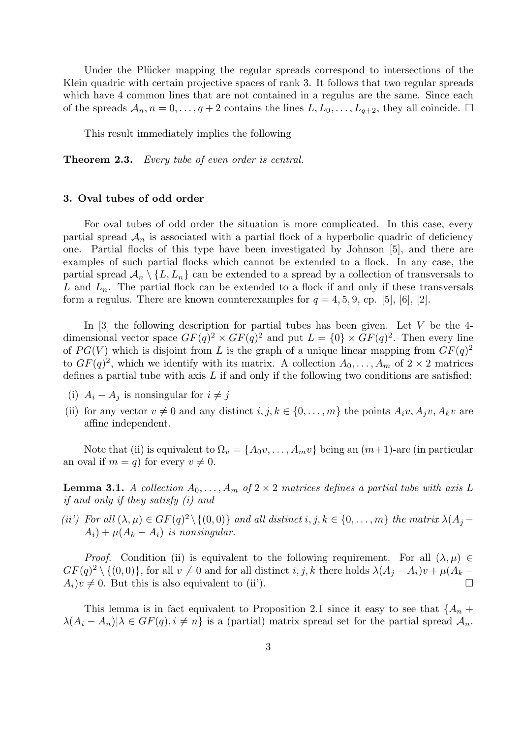Under the Plücker mapping the regular spreads correspond to intersections of the Klein quadric with certain projective spaces of rank 3. It follows that two regular spreads which have 4 common lines that are not contained in a regulus are the same. Since each of the spreads  $\mathcal{A}_n, n = 0, \ldots, q+2$  contains the lines  $L, L_0, \ldots, L_{q+2}$ , they all coincide.  $\Box$ 

This result immediately implies the following

Theorem 2.3. Every tube of even order is central.

## 3. Oval tubes of odd order

For oval tubes of odd order the situation is more complicated. In this case, every partial spread  $A_n$  is associated with a partial flock of a hyperbolic quadric of deficiency one. Partial flocks of this type have been investigated by Johnson [5], and there are examples of such partial flocks which cannot be extended to a flock. In any case, the partial spread  $\mathcal{A}_n \setminus \{L, L_n\}$  can be extended to a spread by a collection of transversals to L and  $L_n$ . The partial flock can be extended to a flock if and only if these transversals form a regulus. There are known counterexamples for  $q = 4, 5, 9$ , cp. [5], [6], [2].

In  $[3]$  the following description for partial tubes has been given. Let V be the 4dimensional vector space  $GF(q)^2 \times GF(q)^2$  and put  $L = \{0\} \times GF(q)^2$ . Then every line of  $PG(V)$  which is disjoint from L is the graph of a unique linear mapping from  $GF(q)^2$ to  $GF(q)^2$ , which we identify with its matrix. A collection  $A_0, \ldots, A_m$  of  $2 \times 2$  matrices defines a partial tube with axis  $L$  if and only if the following two conditions are satisfied:

- (i)  $A_i A_j$  is nonsingular for  $i \neq j$
- (ii) for any vector  $v \neq 0$  and any distinct  $i, j, k \in \{0, ..., m\}$  the points  $A_i v, A_i v, A_k v$  are affine independent.

Note that (ii) is equivalent to  $\Omega_v = \{A_0v, \ldots, A_mv\}$  being an  $(m+1)$ -arc (in particular an oval if  $m = q$  for every  $v \neq 0$ .

**Lemma 3.1.** A collection  $A_0, \ldots, A_m$  of  $2 \times 2$  matrices defines a partial tube with axis L if and only if they satisfy (i) and

(ii) For all  $(\lambda, \mu) \in GF(q)^2 \setminus \{(0, 0)\}\$ and all distinct  $i, j, k \in \{0, ..., m\}$  the matrix  $\lambda(A_j A_i$ ) +  $\mu(A_k - A_i)$  is nonsingular.

*Proof.* Condition (ii) is equivalent to the following requirement. For all  $(\lambda, \mu) \in$  $GF(q)^2 \setminus \{(0,0)\},$  for all  $v \neq 0$  and for all distinct  $i, j, k$  there holds  $\lambda(A_j - A_i)v + \mu(A_k - b_j)$  $A_i)v \neq 0$ . But this is also equivalent to (ii').

This lemma is in fact equivalent to Proposition 2.1 since it easy to see that  ${A_n + A_n}$  $\lambda(A_i - A_n)|\lambda \in GF(q), i \neq n$  is a (partial) matrix spread set for the partial spread  $A_n$ .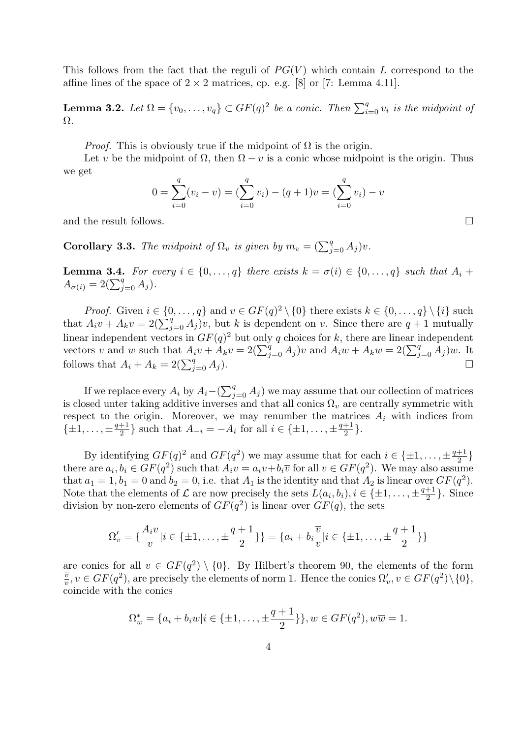This follows from the fact that the reguli of  $PG(V)$  which contain L correspond to the affine lines of the space of  $2 \times 2$  matrices, cp. e.g. [8] or [7: Lemma 4.11].

**Lemma 3.2.** Let  $\Omega = \{v_0, \ldots, v_q\} \subset GF(q)^2$  be a conic. Then  $\sum_{i=0}^q v_i$  is the midpoint of Ω.

*Proof.* This is obviously true if the midpoint of  $\Omega$  is the origin.

Let v be the midpoint of  $\Omega$ , then  $\Omega - v$  is a conic whose midpoint is the origin. Thus we get

$$
0 = \sum_{i=0}^{q} (v_i - v) = \left(\sum_{i=0}^{q} v_i\right) - (q+1)v = \left(\sum_{i=0}^{q} v_i\right) - v
$$

and the result follows.

**Corollary 3.3.** The midpoint of  $\Omega_v$  is given by  $m_v = (\sum_{j=0}^q A_j)v$ .

**Lemma 3.4.** For every  $i \in \{0, \ldots, q\}$  there exists  $k = \sigma(i) \in \{0, \ldots, q\}$  such that  $A_i$  +  $A_{\sigma(i)} = 2(\sum_{j=0}^{q} A_j).$ 

*Proof.* Given  $i \in \{0, ..., q\}$  and  $v \in GF(q)^2 \setminus \{0\}$  there exists  $k \in \{0, ..., q\} \setminus \{i\}$  such that  $A_i v + A_k v = 2(\sum_{j=0}^q A_j)v$ , but k is dependent on v. Since there are  $q + 1$  mutually linear independent vectors in  $GF(q)^2$  but only q choices for k, there are linear independent vectors v and w such that  $A_i v + A_k v = 2(\sum_{j=0}^q A_j)v$  and  $A_i w + A_k w = 2(\sum_{j=0}^q A_j)w$ . It follows that  $A_i + A_k = 2(\sum_{j=0}^q A_j)$ .

If we replace every  $A_i$  by  $A_i - (\sum_{j=0}^q A_j)$  we may assume that our collection of matrices is closed unter taking additive inverses and that all conics  $\Omega_v$  are centrally symmetric with respect to the origin. Moreover, we may renumber the matrices  $A_i$  with indices from  $\{\pm 1, \ldots, \pm \frac{q+1}{2}\}$  $\frac{+1}{2}$  such that  $A_{-i} = -A_i$  for all  $i \in {\pm 1, ..., \pm \frac{q+1}{2}}$  $\frac{+1}{2}$ .

By identifying  $GF(q)^2$  and  $GF(q^2)$  we may assume that for each  $i \in \{\pm 1, \ldots, \pm \frac{q+1}{2}\}$  $\frac{+1}{2}$ there are  $a_i, b_i \in GF(q^2)$  such that  $A_i v = a_i v + b_i \overline{v}$  for all  $v \in GF(q^2)$ . We may also assume that  $a_1 = 1, b_1 = 0$  and  $b_2 = 0$ , i.e. that  $A_1$  is the identity and that  $A_2$  is linear over  $GF(q^2)$ . Note that the elements of  $\mathcal L$  are now precisely the sets  $L(a_i, b_i), i \in \{\pm 1, \ldots, \pm \frac{q+1}{2}\}$  $\frac{+1}{2}$ . Since division by non-zero elements of  $GF(q^2)$  is linear over  $GF(q)$ , the sets

$$
\Omega_v' = \{\frac{A_i v}{v} | i \in \{\pm 1, \dots, \pm \frac{q+1}{2}\}\} = \{a_i + b_i \frac{\overline{v}}{v} | i \in \{\pm 1, \dots, \pm \frac{q+1}{2}\}\}\
$$

are conics for all  $v \in GF(q^2) \setminus \{0\}$ . By Hilbert's theorem 90, the elements of the form  $\overline{v}$  $\overline{\frac{v}{v}}, v \in GF(q^2)$ , are precisely the elements of norm 1. Hence the conics  $\Omega'_v, v \in GF(q^2) \setminus \{0\},$ coincide with the conics

$$
\Omega_w^* = \{a_i + b_i w | i \in \{\pm 1, \dots, \pm \frac{q+1}{2}\}\}, w \in GF(q^2), w\overline{w} = 1.
$$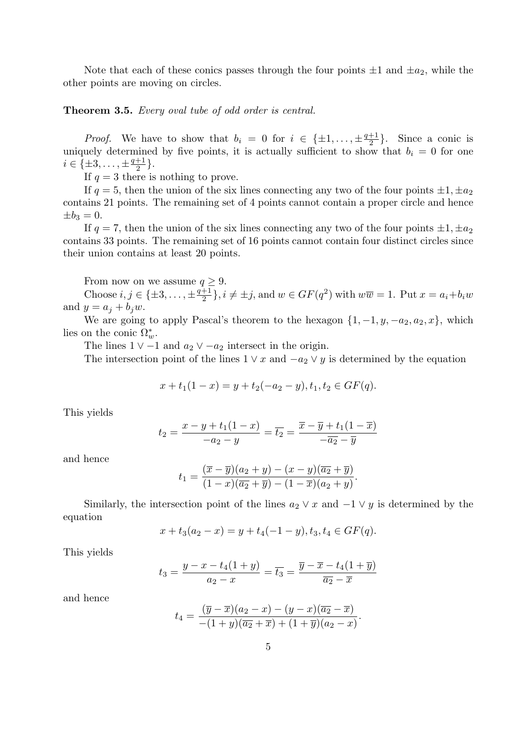Note that each of these conics passes through the four points  $\pm 1$  and  $\pm a_2$ , while the other points are moving on circles.

# Theorem 3.5. Every oval tube of odd order is central.

*Proof.* We have to show that  $b_i = 0$  for  $i \in {\pm 1, ..., \pm \frac{q+1}{2}}$  $\frac{+1}{2}$ . Since a conic is uniquely determined by five points, it is actually sufficient to show that  $b_i = 0$  for one  $i \in {\{\pm 3, \ldots, \pm \frac{q+1}{2}}}$  $\frac{+1}{2}$ .

If  $q = 3$  there is nothing to prove.

If  $q = 5$ , then the union of the six lines connecting any two of the four points  $\pm 1, \pm a_2$ contains 21 points. The remaining set of 4 points cannot contain a proper circle and hence  $\pm b_3 = 0.$ 

If  $q = 7$ , then the union of the six lines connecting any two of the four points  $\pm 1, \pm a_2$ contains 33 points. The remaining set of 16 points cannot contain four distinct circles since their union contains at least 20 points.

From now on we assume  $q \geq 9$ .

Choose  $i, j \in \{\pm 3, \ldots, \pm \frac{q+1}{2}\}$  $\frac{+1}{2}$ ,  $i \neq \pm j$ , and  $w \in GF(q^2)$  with  $w\overline{w} = 1$ . Put  $x = a_i + b_iw$ and  $y = a_j + b_jw$ .

We are going to apply Pascal's theorem to the hexagon  $\{1, -1, y, -a_2, a_2, x\}$ , which lies on the conic  $\Omega_w^*$ .

The lines  $1 \vee -1$  and  $a_2 \vee -a_2$  intersect in the origin.

The intersection point of the lines  $1 \vee x$  and  $-a_2 \vee y$  is determined by the equation

$$
x + t_1(1 - x) = y + t_2(-a_2 - y), t_1, t_2 \in GF(q).
$$

This yields

$$
t_2 = \frac{x - y + t_1(1 - x)}{-a_2 - y} = \overline{t_2} = \frac{\overline{x} - \overline{y} + t_1(1 - \overline{x})}{-\overline{a_2} - \overline{y}}
$$

and hence

$$
t_1 = \frac{(\overline{x} - \overline{y})(a_2 + y) - (x - y)(\overline{a_2} + \overline{y})}{(1 - x)(\overline{a_2} + \overline{y}) - (1 - \overline{x})(a_2 + y)}.
$$

Similarly, the intersection point of the lines  $a_2 \vee x$  and  $-1 \vee y$  is determined by the equation

$$
x + t_3(a_2 - x) = y + t_4(-1 - y), t_3, t_4 \in GF(q).
$$

This yields

$$
t_3 = \frac{y - x - t_4(1 + y)}{a_2 - x} = \overline{t_3} = \frac{\overline{y} - \overline{x} - t_4(1 + \overline{y})}{\overline{a_2} - \overline{x}}
$$

and hence

$$
t_4 = \frac{(\overline{y} - \overline{x})(a_2 - x) - (y - x)(\overline{a_2} - \overline{x})}{-(1 + y)(\overline{a_2} + \overline{x}) + (1 + \overline{y})(a_2 - x)}.
$$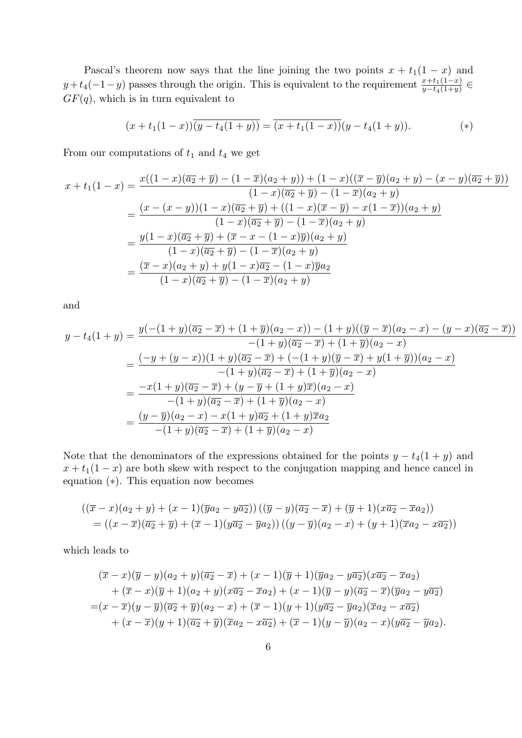Pascal's theorem now says that the line joining the two points  $x + t_1(1 - x)$  and  $y+t_4(-1-y)$  passes through the origin. This is equivalent to the requirement  $\frac{x+t_1(1-x)}{y-t_4(1+y)}$  $GF(q)$ , which is in turn equivalent to

$$
(x+t_1(1-x))\overline{(y-t_4(1+y))} = \overline{(x+t_1(1-x))}(y-t_4(1+y)).
$$
 (\*)

From our computations of  $t_1$  and  $t_4$  we get

$$
x + t_1(1-x) = \frac{x((1-x)(\overline{a_2} + \overline{y}) - (1-\overline{x})(a_2+y)) + (1-x)((\overline{x} - \overline{y})(a_2+y) - (x-y)(\overline{a_2} + \overline{y}))}{(1-x)(\overline{a_2} + \overline{y}) - (1-\overline{x})(a_2+y)}
$$
  

$$
= \frac{(x - (x-y))(1-x)(\overline{a_2} + \overline{y}) + ((1-x)(\overline{x} - \overline{y}) - x(1-\overline{x}))(a_2+y)}{(1-x)(\overline{a_2} + \overline{y}) - (1-\overline{x})(a_2+y)}
$$
  

$$
= \frac{y(1-x)(\overline{a_2} + \overline{y}) + (\overline{x} - x - (1-x)\overline{y})(a_2+y)}{(1-x)(\overline{a_2} + \overline{y}) - (1-\overline{x})(a_2+y)}
$$
  

$$
= \frac{(\overline{x} - x)(a_2+y) + y(1-x)\overline{a_2} - (1-x)\overline{y}a_2}{(1-x)(\overline{a_2} + \overline{y}) - (1-\overline{x})(a_2+y)}
$$

and

$$
y - t_4(1 + y) = \frac{y(-(1 + y)(\overline{a_2} - \overline{x}) + (1 + \overline{y})(a_2 - x)) - (1 + y)((\overline{y} - \overline{x})(a_2 - x) - (y - x)(\overline{a_2} - \overline{x}))}{-(1 + y)(\overline{a_2} - \overline{x}) + (1 + \overline{y})(a_2 - x)}
$$
  
= 
$$
\frac{(-y + (y - x))(1 + y)(\overline{a_2} - \overline{x}) + (-(1 + y)(\overline{y} - \overline{x}) + y(1 + \overline{y}))(a_2 - x)}{-(1 + y)(\overline{a_2} - \overline{x}) + (1 + \overline{y})(a_2 - x)}
$$
  
= 
$$
\frac{-x(1 + y)(\overline{a_2} - \overline{x}) + (y - \overline{y} + (1 + y)\overline{x})(a_2 - x)}{-(1 + y)(\overline{a_2} - \overline{x}) + (1 + \overline{y})(a_2 - x)}
$$
  
= 
$$
\frac{(y - \overline{y})(a_2 - x) - x(1 + y)\overline{a_2} + (1 + y)\overline{x}a_2}{-(1 + y)(\overline{a_2} - \overline{x}) + (1 + \overline{y})(a_2 - x)}
$$

Note that the denominators of the expressions obtained for the points  $y - t_4(1 + y)$  and  $x + t_1(1-x)$  are both skew with respect to the conjugation mapping and hence cancel in equation (∗). This equation now becomes

$$
((\overline{x}-x)(a_2+y)+(x-1)(\overline{y}a_2-y\overline{a_2}))((\overline{y}-y)(\overline{a_2}-\overline{x})+(\overline{y}+1)(x\overline{a_2}-\overline{x}a_2))
$$
  
=  $((x-\overline{x})(\overline{a_2}+\overline{y})+(\overline{x}-1)(y\overline{a_2}-\overline{y}a_2))((y-\overline{y})(a_2-x)+(y+1)(\overline{x}a_2-x\overline{a_2}))$ 

which leads to

$$
(\overline{x}-x)(\overline{y}-y)(a_2+y)(\overline{a_2}-\overline{x})+(x-1)(\overline{y}+1)(\overline{y}a_2-y\overline{a_2})(x\overline{a_2}-\overline{x}a_2) + (\overline{x}-x)(\overline{y}+1)(a_2+y)(x\overline{a_2}-\overline{x}a_2)+(x-1)(\overline{y}-y)(\overline{a_2}-\overline{x})(\overline{y}a_2-y\overline{a_2}) = (x-\overline{x})(y-\overline{y})(\overline{a_2}+\overline{y})(a_2-x)+(\overline{x}-1)(y+1)(y\overline{a_2}-\overline{y}a_2)(\overline{x}a_2-x\overline{a_2}) + (x-\overline{x})(y+1)(\overline{a_2}+\overline{y})(\overline{x}a_2-x\overline{a_2})+(\overline{x}-1)(y-\overline{y})(a_2-x)(y\overline{a_2}-\overline{y}a_2).
$$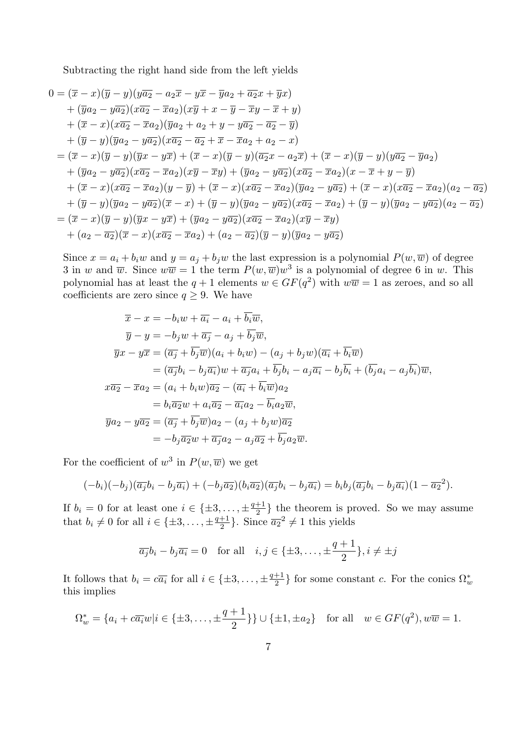Subtracting the right hand side from the left yields

$$
0 = (\overline{x} - x)(\overline{y} - y)(y\overline{a_2} - a_2\overline{x} - y\overline{x} - \overline{y}a_2 + \overline{a_2}x + \overline{y}x)
$$
  
+  $(\overline{y}a_2 - y\overline{a_2})(x\overline{a_2} - \overline{x}a_2)(x\overline{y} + x - \overline{y} - \overline{x}y - \overline{x} + y)$   
+  $(\overline{x} - x)(x\overline{a_2} - \overline{x}a_2)(\overline{y}a_2 + a_2 + y - y\overline{a_2} - \overline{a_2} - \overline{y})$   
+  $(\overline{y} - y)(\overline{y}a_2 - y\overline{a_2})(x\overline{a_2} - \overline{a_2} + \overline{x} - \overline{x}a_2 + a_2 - x)$   
=  $(\overline{x} - x)(\overline{y} - y)(\overline{y}x - y\overline{x}) + (\overline{x} - x)(\overline{y} - y)(\overline{a_2}x - a_2\overline{x}) + (\overline{x} - x)(\overline{y} - y)(y\overline{a_2} - \overline{y}a_2)$   
+  $(\overline{y}a_2 - y\overline{a_2})(x\overline{a_2} - \overline{x}a_2)(x\overline{y} - \overline{x}y) + (\overline{y}a_2 - y\overline{a_2})(x\overline{a_2} - \overline{x}a_2)(x - \overline{x} + y - \overline{y})$   
+  $(\overline{x} - x)(x\overline{a_2} - \overline{x}a_2)(y - \overline{y}) + (\overline{x} - x)(x\overline{a_2} - \overline{x}a_2)(\overline{y}a_2 - y\overline{a_2}) + (\overline{x} - x)(x\overline{a_2} - \overline{x}a_2)(a_2 - \overline{a_2})$   
+  $(\overline{y} - y)(\overline{y}a_2 - y\overline{a_2})(\overline{x} - x) + (\overline{y} - y)(\overline{y}a_2 - y\overline{a_2})(x\overline{a_2} - \overline{x}a_2) + (\overline{y} - y$ 

Since  $x = a_i + b_i w$  and  $y = a_j + b_j w$  the last expression is a polynomial  $P(w, \overline{w})$  of degree 3 in w and  $\overline{w}$ . Since  $w\overline{w} = 1$  the term  $P(w,\overline{w})w^3$  is a polynomial of degree 6 in w. This polynomial has at least the  $q + 1$  elements  $w \in GF(q^2)$  with  $w\overline{w} = 1$  as zeroes, and so all coefficients are zero since  $q \geq 9$ . We have

$$
\overline{x} - x = -b_i w + \overline{a_i} - a_i + \overline{b_i w},
$$
  
\n
$$
\overline{y} - y = -b_j w + \overline{a_j} - a_j + \overline{b_j w},
$$
  
\n
$$
\overline{y}x - y\overline{x} = (\overline{a_j} + \overline{b_j w})(a_i + b_i w) - (a_j + b_j w)(\overline{a_i} + \overline{b_i w})
$$
  
\n
$$
= (\overline{a_j}b_i - b_j\overline{a_i})w + \overline{a_j}a_i + \overline{b_j}b_i - a_j\overline{a_i} - b_j\overline{b_i} + (\overline{b_j}a_i - a_j\overline{b_i})\overline{w},
$$
  
\n
$$
x\overline{a_2} - \overline{x}a_2 = (a_i + b_i w)\overline{a_2} - (\overline{a_i} + \overline{b_i w})a_2
$$
  
\n
$$
= b_i\overline{a_2}w + a_i\overline{a_2} - \overline{a_i}a_2 - \overline{b_i}a_2\overline{w},
$$
  
\n
$$
\overline{y}a_2 - y\overline{a_2} = (\overline{a_j} + \overline{b_j w})a_2 - (a_j + b_j w)\overline{a_2}
$$
  
\n
$$
= -b_j\overline{a_2}w + \overline{a_j}a_2 - a_j\overline{a_2} + \overline{b_j}a_2\overline{w}.
$$

For the coefficient of  $w^3$  in  $P(w,\overline{w})$  we get

$$
(-b_i)(-b_j)(\overline{a_j}b_i - b_j\overline{a_i}) + (-b_j\overline{a_2})(b_i\overline{a_2})(\overline{a_j}b_i - b_j\overline{a_i}) = b_ib_j(\overline{a_j}b_i - b_j\overline{a_i})(1 - \overline{a_2}^2).
$$

If  $b_i = 0$  for at least one  $i \in {\pm 3, \ldots, \pm \frac{q+1}{2}}$  $\frac{+1}{2}$  the theorem is proved. So we may assume that  $b_i \neq 0$  for all  $i \in {\pm 3, \ldots, \pm \frac{q+1}{2}}$  $\frac{+1}{2}$ . Since  $\overline{a_2}^2 \neq 1$  this yields

$$
\overline{a_j}b_i - b_j\overline{a_i} = 0
$$
 for all  $i, j \in \{\pm 3, ..., \pm \frac{q+1}{2}\}, i \neq \pm j$ 

It follows that  $b_i = c\overline{a_i}$  for all  $i \in {\pm 3, ..., \pm \frac{q+1}{2}}$  $\frac{+1}{2}$  for some constant c. For the conics  $\Omega_w^*$ this implies

$$
\Omega_w^* = \{a_i + c\overline{a_i}w | i \in \{\pm 3, ..., \pm \frac{q+1}{2}\}\} \cup \{\pm 1, \pm a_2\} \text{ for all } w \in GF(q^2), w\overline{w} = 1.
$$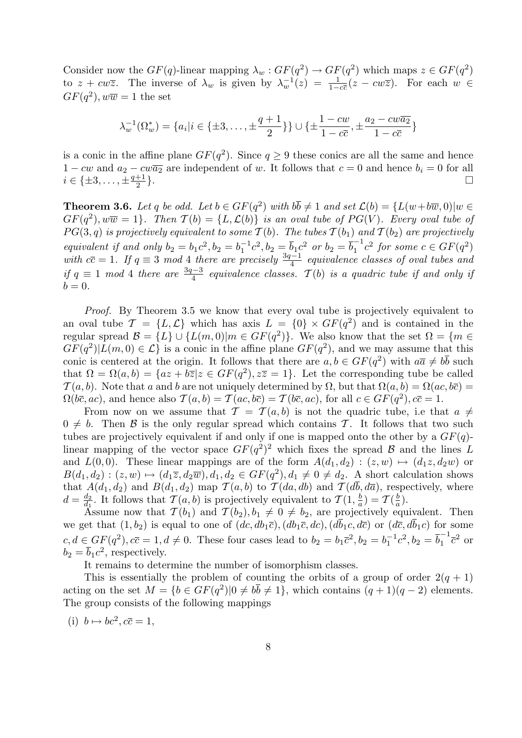Consider now the  $GF(q)$ -linear mapping  $\lambda_w : GF(q^2) \to GF(q^2)$  which maps  $z \in GF(q^2)$ to  $z + cw\overline{z}$ . The inverse of  $\lambda_w$  is given by  $\lambda_w^{-1}(z) = \frac{1}{1-c\overline{c}}(z - cw\overline{z})$ . For each  $w \in$  $GF(q^2), w\overline{w} = 1$  the set

$$
\lambda_w^{-1}(\Omega_w^*) = \{a_i | i \in \{\pm 3, \dots, \pm \frac{q+1}{2}\}\} \cup \{\pm \frac{1-cw}{1-c\overline{c}}, \pm \frac{a_2-cw\overline{a_2}}{1-c\overline{c}}\}
$$

is a conic in the affine plane  $GF(q^2)$ . Since  $q \geq 9$  these conics are all the same and hence  $1 - cw$  and  $a_2 - cw\overline{a_2}$  are independent of w. It follows that  $c = 0$  and hence  $b_i = 0$  for all  $i \in {\pm 3, \ldots, \pm \frac{q+1}{2}}$ 2 }.

**Theorem 3.6.** Let q be odd. Let  $b \in GF(q^2)$  with  $b\overline{b} \neq 1$  and set  $\mathcal{L}(b) = \{L(w+b\overline{w},0)|w \in$  $GF(q^2), w\overline{w} = 1$ . Then  $\mathcal{T}(b) = \{L, \mathcal{L}(b)\}\$ is an oval tube of  $PG(V)$ . Every oval tube of  $PG(3, q)$  is projectively equivalent to some  $T(b)$ . The tubes  $T(b_1)$  and  $T(b_2)$  are projectively equivalent if and only  $b_2 = b_1 c^2$ ,  $b_2 = b_1^{-1}$  $\overline{b}_1^{-1}c^2, b_2 = \overline{b}_1c^2$  or  $b_2 = \overline{b}_1^{-1}$  $c_1^{-1}c^2$  for some  $c \in GF(q^2)$ with  $c\bar{c} = 1$ . If  $q \equiv 3 \mod 4$  there are precisely  $\frac{3q-1}{4}$  equivalence classes of oval tubes and if  $q \equiv 1 \mod 4$  there are  $\frac{3q-3}{4}$  equivalence classes.  $\mathcal{T}(b)$  is a quadric tube if and only if  $b=0.$ 

Proof. By Theorem 3.5 we know that every oval tube is projectively equivalent to an oval tube  $\mathcal{T} = \{L, \mathcal{L}\}\$  which has axis  $L = \{0\} \times GF(q^2)\$  and is contained in the regular spread  $\mathcal{B} = \{L\} \cup \{L(m, 0) | m \in GF(q^2)\}.$  We also know that the set  $\Omega = \{m \in$  $GF(q^2)|L(m,0) \in \mathcal{L}$  is a conic in the affine plane  $GF(q^2)$ , and we may assume that this conic is centered at the origin. It follows that there are  $a, b \in GF(q^2)$  with  $a\overline{a} \neq b\overline{b}$  such that  $\Omega = \Omega(a, b) = \{az + b\overline{z} | z \in GF(q^2), z\overline{z} = 1\}.$  Let the corresponding tube be called  $\mathcal{T}(a, b)$ . Note that a and b are not uniquely determined by  $\Omega$ , but that  $\Omega(a, b) = \Omega(ac, b\overline{c})$  $\Omega(b\overline{c},ac)$ , and hence also  $\mathcal{T}(a,b)=\mathcal{T}(ac,b\overline{c})=\mathcal{T}(b\overline{c},ac)$ , for all  $c\in GF(q^2), c\overline{c}=1$ .

From now on we assume that  $\mathcal{T} = \mathcal{T}(a, b)$  is not the quadric tube, i.e that  $a \neq$  $0 \neq b$ . Then B is the only regular spread which contains T. It follows that two such tubes are projectively equivalent if and only if one is mapped onto the other by a  $GF(q)$ linear mapping of the vector space  $GF(q^2)^2$  which fixes the spread  $\beta$  and the lines L and  $L(0,0)$ . These linear mappings are of the form  $A(d_1, d_2) : (z, w) \mapsto (d_1z, d_2w)$  or  $B(d_1, d_2) : (z, w) \mapsto (d_1 \overline{z}, d_2 \overline{w}), d_1, d_2 \in GF(q^2), d_1 \neq 0 \neq d_2$ . A short calculation shows that  $A(d_1, d_2)$  and  $B(d_1, d_2)$  map  $\mathcal{T}(a, b)$  to  $\mathcal{T}(da, db)$  and  $\mathcal{T}(d\overline{b}, d\overline{a})$ , respectively, where  $d=\frac{d_2}{d_1}$  $\frac{d_2}{d_1}$ . It follows that  $\mathcal{T}(a, b)$  is projectively equivalent to  $\mathcal{T}(1, \frac{b}{a})$  $\frac{b}{a}$ ) =  $\mathcal{T}(\frac{b}{a})$  $\frac{b}{a}$ ).

Assume now that  $\mathcal{T}(b_1)$  and  $\mathcal{T}(b_2), b_1 \neq 0 \neq b_2$ , are projectively equivalent. Then we get that  $(1, b_2)$  is equal to one of  $(dc, db_1\bar{c})$ ,  $(db_1\bar{c}, dc)$ ,  $(d\bar{b}_1c, d\bar{c})$  or  $(d\bar{c}, d\bar{b}_1c)$  for some  $c, d \in GF(q^2), c\overline{c} = 1, d \neq 0$ . These four cases lead to  $b_2 = b_1 \overline{c}^2, b_2 = b_1^{-1}$  $b_1^{-1}c^2, b_2 = \overline{b}_1^{-1}$  $v_1^{-1}\overline{c}^2$  or  $b_2 = \overline{b}_1 c^2$ , respectively.

It remains to determine the number of isomorphism classes.

This is essentially the problem of counting the orbits of a group of order  $2(q + 1)$ acting on the set  $M = \{b \in GF(q^2) | 0 \neq b\overline{b} \neq 1\}$ , which contains  $(q + 1)(q - 2)$  elements. The group consists of the following mappings

(i)  $b \mapsto bc^2, c\overline{c} = 1,$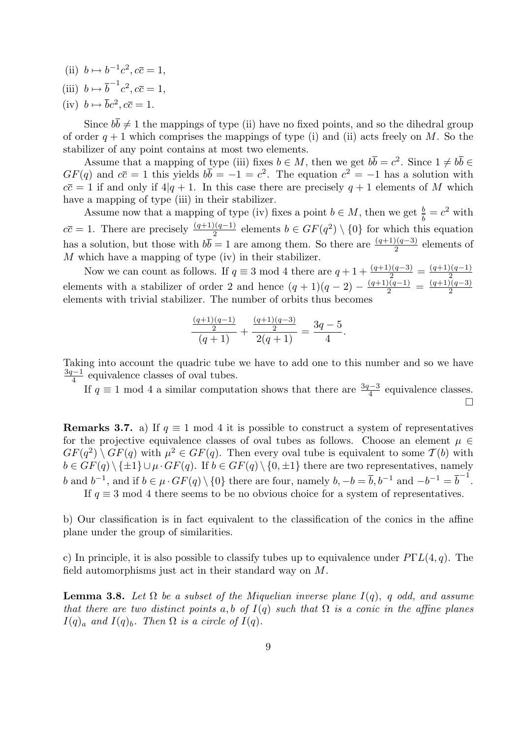- (ii)  $b \mapsto b^{-1}c^2, c\overline{c} = 1,$
- (iii)  $b \mapsto \overline{b}^{-1}c^2, c\overline{c} = 1,$
- (iv)  $b \mapsto \overline{b}c^2, c\overline{c} = 1.$

Since  $b\overline{b} \neq 1$  the mappings of type (ii) have no fixed points, and so the dihedral group of order  $q + 1$  which comprises the mappings of type (i) and (ii) acts freely on M. So the stabilizer of any point contains at most two elements.

Assume that a mapping of type (iii) fixes  $b \in M$ , then we get  $b\overline{b} = c^2$ . Since  $1 \neq b\overline{b} \in$  $GF(q)$  and  $c\overline{c} = 1$  this yields  $b\overline{b} = -1 = c^2$ . The equation  $c^2 = -1$  has a solution with  $c\overline{c} = 1$  if and only if  $4|q+1$ . In this case there are precisely  $q+1$  elements of M which have a mapping of type (iii) in their stabilizer.

Assume now that a mapping of type (iv) fixes a point  $b \in M$ , then we get  $\frac{b}{b} = c^2$  with  $c\overline{c} = 1$ . There are precisely  $\frac{(q+1)(q-1)}{2}$  elements  $b \in GF(q^2) \setminus \{0\}$  for which this equation has a solution, but those with  $b\overline{b} = 1$  are among them. So there are  $\frac{(q+1)(q-3)}{2}$  elements of M which have a mapping of type (iv) in their stabilizer.

Now we can count as follows. If  $q \equiv 3 \mod 4$  there are  $q + 1 + \frac{(q+1)(q-3)}{2} = \frac{(q+1)(q-1)}{2}$ elements with a stabilizer of order 2 and hence  $(q + 1)(q - 2) - \frac{(q+1)(q-1)}{2} = \frac{(q+1)(q-1)}{2}$  $\frac{\sqrt{q-1}}{2} = \frac{(q+1)(q-3)}{2}$ 2 elements with trivial stabilizer. The number of orbits thus becomes

$$
\frac{\frac{(q+1)(q-1)}{2}}{(q+1)} + \frac{\frac{(q+1)(q-3)}{2}}{2(q+1)} = \frac{3q-5}{4}.
$$

Taking into account the quadric tube we have to add one to this number and so we have 3q−1  $\frac{1}{4}$  equivalence classes of oval tubes.

If  $q \equiv 1 \mod 4$  a similar computation shows that there are  $\frac{3q-3}{4}$  equivalence classes.  $\Box$ 

**Remarks 3.7.** a) If  $q \equiv 1 \mod 4$  it is possible to construct a system of representatives for the projective equivalence classes of oval tubes as follows. Choose an element  $\mu \in$  $GF(q^2) \setminus GF(q)$  with  $\mu^2 \in GF(q)$ . Then every oval tube is equivalent to some  $\mathcal{T}(b)$  with  $b \in \overline{GF(q)} \setminus {\pm 1} \cup \mu \cdot GF(q)$ . If  $b \in GF(q) \setminus {\{0, \pm 1\}}$  there are two representatives, namely b and  $b^{-1}$ , and if  $b \in \mu \cdot GF(q) \setminus \{0\}$  there are four, namely  $b, -b = \overline{b}, b^{-1}$  and  $-b^{-1} = \overline{b}^{-1}$ . If  $q \equiv 3 \mod 4$  there seems to be no obvious choice for a system of representatives.

b) Our classification is in fact equivalent to the classification of the conics in the affine plane under the group of similarities.

c) In principle, it is also possible to classify tubes up to equivalence under  $P\Gamma L(4, q)$ . The field automorphisms just act in their standard way on M.

**Lemma 3.8.** Let  $\Omega$  be a subset of the Miquelian inverse plane  $I(q)$ , q odd, and assume that there are two distinct points a, b of  $I(q)$  such that  $\Omega$  is a conic in the affine planes  $I(q)_a$  and  $I(q)_b$ . Then  $\Omega$  is a circle of  $I(q)$ .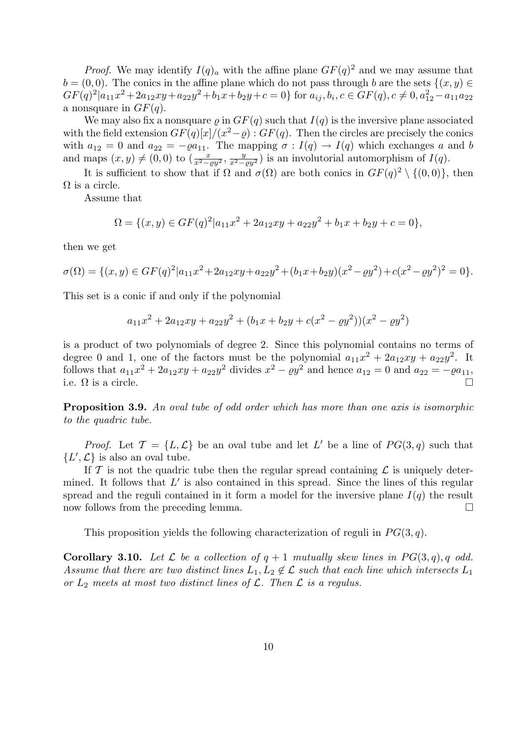*Proof.* We may identify  $I(q)_a$  with the affine plane  $GF(q)^2$  and we may assume that  $b = (0, 0)$ . The conics in the affine plane which do not pass through b are the sets  $\{(x, y) \in$  $GF(q)^{2}|a_{11}x^{2}+2a_{12}xy+a_{22}y^{2}+b_{1}x+b_{2}y+c=0\}$  for  $a_{ij},b_{i},c \in GF(q), c \neq 0, a_{12}^{2}-a_{11}a_{22}$ a nonsquare in  $GF(q)$ .

We may also fix a nonsquare  $\rho$  in  $GF(q)$  such that  $I(q)$  is the inversive plane associated with the field extension  $GF(q)[x]/(x^2-\varrho)$ :  $GF(q)$ . Then the circles are precisely the conics with  $a_{12} = 0$  and  $a_{22} = -\varrho a_{11}$ . The mapping  $\sigma : I(q) \to I(q)$  which exchanges a and b and maps  $(x, y) \neq (0, 0)$  to  $(\frac{x}{x^2 - \rho y^2}, \frac{y}{x^2 - \rho y^2})$  is an involutorial automorphism of  $I(q)$ .

It is sufficient to show that if  $\Omega$  and  $\sigma(\Omega)$  are both conics in  $GF(q)^2 \setminus \{(0,0)\},$  then  $\Omega$  is a circle.

Assume that

$$
\Omega = \{(x, y) \in GF(q)^2 | a_{11}x^2 + 2a_{12}xy + a_{22}y^2 + b_1x + b_2y + c = 0\},\
$$

then we get

$$
\sigma(\Omega) = \{(x, y) \in GF(q)^2 | a_{11}x^2 + 2a_{12}xy + a_{22}y^2 + (b_1x + b_2y)(x^2 - \varrho y^2) + c(x^2 - \varrho y^2)^2 = 0\}.
$$

This set is a conic if and only if the polynomial

$$
a_{11}x^2 + 2a_{12}xy + a_{22}y^2 + (b_1x + b_2y + c(x^2 - \rho y^2))(x^2 - \rho y^2)
$$

is a product of two polynomials of degree 2. Since this polynomial contains no terms of degree 0 and 1, one of the factors must be the polynomial  $a_{11}x^2 + 2a_{12}xy + a_{22}y^2$ . It follows that  $a_{11}x^2 + 2a_{12}xy + a_{22}y^2$  divides  $x^2 - \rho y^2$  and hence  $a_{12} = 0$  and  $a_{22} = -\rho a_{11}$ , i.e.  $\Omega$  is a circle.

Proposition 3.9. An oval tube of odd order which has more than one axis is isomorphic to the quadric tube.

*Proof.* Let  $\mathcal{T} = \{L, \mathcal{L}\}\$ be an oval tube and let L' be a line of  $PG(3, q)$  such that  $\{L', \mathcal{L}\}\)$  is also an oval tube.

If  $\mathcal T$  is not the quadric tube then the regular spread containing  $\mathcal L$  is uniquely determined. It follows that  $L'$  is also contained in this spread. Since the lines of this regular spread and the reguli contained in it form a model for the inversive plane  $I(q)$  the result now follows from the preceding lemma.

This proposition yields the following characterization of reguli in  $PG(3, q)$ .

**Corollary 3.10.** Let L be a collection of  $q + 1$  mutually skew lines in  $PG(3, q)$ , q odd. Assume that there are two distinct lines  $L_1, L_2 \notin \mathcal{L}$  such that each line which intersects  $L_1$ or  $L_2$  meets at most two distinct lines of  $\mathcal{L}$ . Then  $\mathcal{L}$  is a regulus.